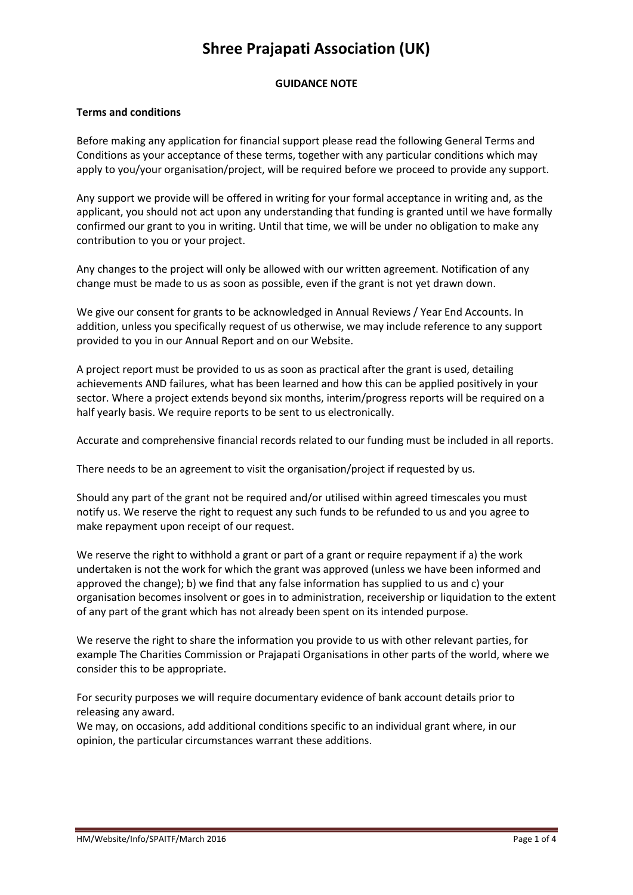# **Shree Prajapati Association (UK)**

## **GUIDANCE NOTE**

#### **Terms and conditions**

Before making any application for financial support please read the following General Terms and Conditions as your acceptance of these terms, together with any particular conditions which may apply to you/your organisation/project, will be required before we proceed to provide any support.

Any support we provide will be offered in writing for your formal acceptance in writing and, as the applicant, you should not act upon any understanding that funding is granted until we have formally confirmed our grant to you in writing. Until that time, we will be under no obligation to make any contribution to you or your project.

Any changes to the project will only be allowed with our written agreement. Notification of any change must be made to us as soon as possible, even if the grant is not yet drawn down.

We give our consent for grants to be acknowledged in Annual Reviews / Year End Accounts. In addition, unless you specifically request of us otherwise, we may include reference to any support provided to you in our Annual Report and on our Website.

A project report must be provided to us as soon as practical after the grant is used, detailing achievements AND failures, what has been learned and how this can be applied positively in your sector. Where a project extends beyond six months, interim/progress reports will be required on a half yearly basis. We require reports to be sent to us electronically.

Accurate and comprehensive financial records related to our funding must be included in all reports.

There needs to be an agreement to visit the organisation/project if requested by us.

Should any part of the grant not be required and/or utilised within agreed timescales you must notify us. We reserve the right to request any such funds to be refunded to us and you agree to make repayment upon receipt of our request.

We reserve the right to withhold a grant or part of a grant or require repayment if a) the work undertaken is not the work for which the grant was approved (unless we have been informed and approved the change); b) we find that any false information has supplied to us and c) your organisation becomes insolvent or goes in to administration, receivership or liquidation to the extent of any part of the grant which has not already been spent on its intended purpose.

We reserve the right to share the information you provide to us with other relevant parties, for example The Charities Commission or Prajapati Organisations in other parts of the world, where we consider this to be appropriate.

For security purposes we will require documentary evidence of bank account details prior to releasing any award.

We may, on occasions, add additional conditions specific to an individual grant where, in our opinion, the particular circumstances warrant these additions.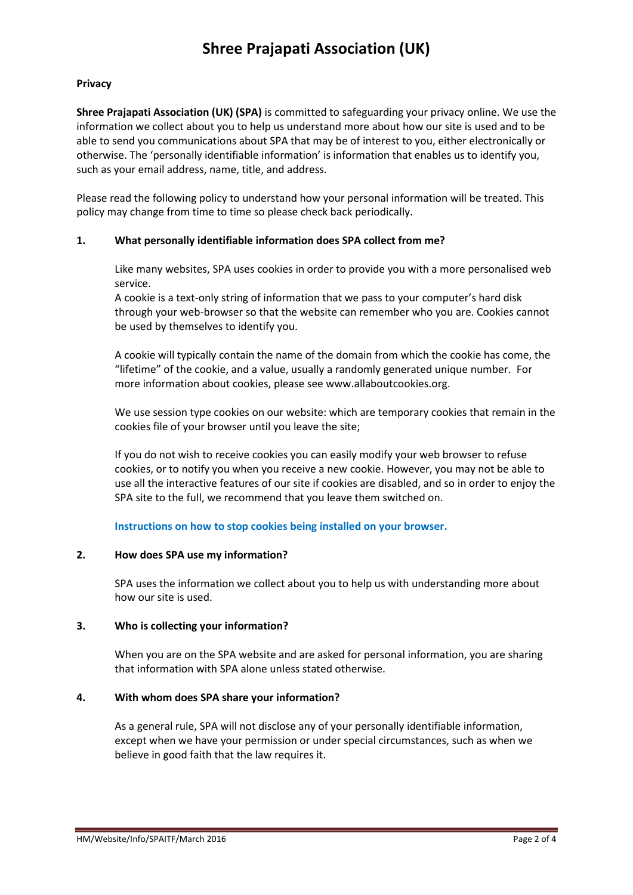# **Shree Prajapati Association (UK)**

### **Privacy**

**Shree Prajapati Association (UK) (SPA)** is committed to safeguarding your privacy online. We use the information we collect about you to help us understand more about how our site is used and to be able to send you communications about SPA that may be of interest to you, either electronically or otherwise. The 'personally identifiable information' is information that enables us to identify you, such as your email address, name, title, and address.

Please read the following policy to understand how your personal information will be treated. This policy may change from time to time so please check back periodically.

## **1. What personally identifiable information does SPA collect from me?**

Like many websites, SPA uses cookies in order to provide you with a more personalised web service.

A cookie is a text-only string of information that we pass to your computer's hard disk through your web-browser so that the website can remember who you are. Cookies cannot be used by themselves to identify you.

A cookie will typically contain the name of the domain from which the cookie has come, the "lifetime" of the cookie, and a value, usually a randomly generated unique number. For more information about cookies, please see www.allaboutcookies.org.

We use session type cookies on our website: which are temporary cookies that remain in the cookies file of your browser until you leave the site;

If you do not wish to receive cookies you can easily modify your web browser to refuse cookies, or to notify you when you receive a new cookie. However, you may not be able to use all the interactive features of our site if cookies are disabled, and so in order to enjoy the SPA site to the full, we recommend that you leave them switched on.

#### **Instructions on how to stop cookies being installed on your browser.**

#### **2. How does SPA use my information?**

SPA uses the information we collect about you to help us with understanding more about how our site is used.

#### **3. Who is collecting your information?**

When you are on the SPA website and are asked for personal information, you are sharing that information with SPA alone unless stated otherwise.

#### **4. With whom does SPA share your information?**

As a general rule, SPA will not disclose any of your personally identifiable information, except when we have your permission or under special circumstances, such as when we believe in good faith that the law requires it.